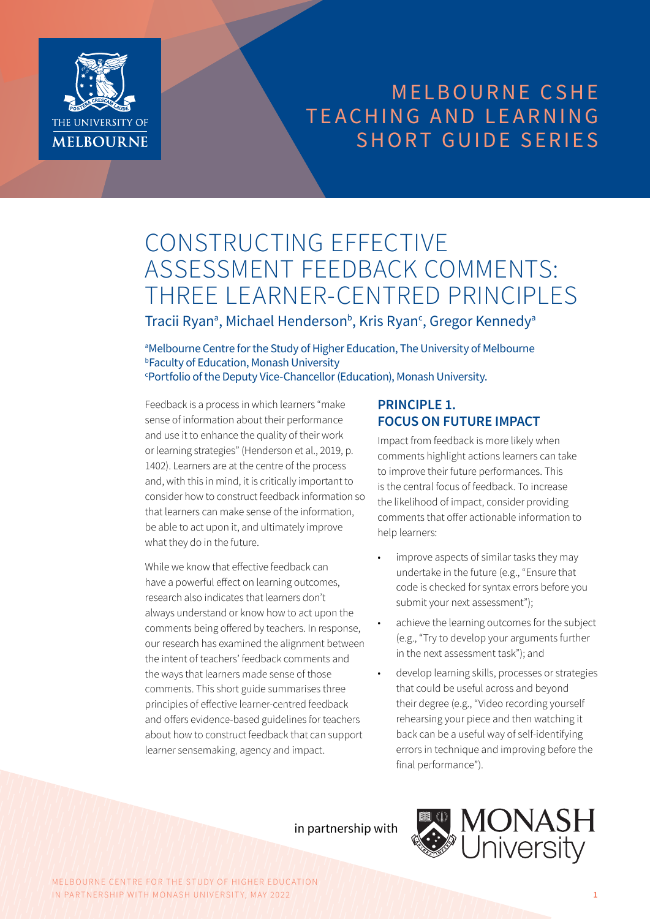

## MELBOURNE CSHE TEACHING AND LEARNING SHORT GUIDE SERIES

# CONSTRUCTING EFFECTIVE ASSESSMENT FEEDBACK COMMENTS: THREE LEARNER-CENTRED PRINCIPLES

Tracii Ryan<sup>a</sup>, Michael Henderson<sup>b</sup>, Kris Ryan<sup>c</sup>, Gregor Kennedy<sup>a</sup>

aMelbourne Centre for the Study of Higher Education, The University of Melbourne b Faculty of Education, Monash University c Portfolio of the Deputy Vice-Chancellor (Education), Monash University.

Feedback is a process in which learners "make sense of information about their performance and use it to enhance the quality of their work or learning strategies" (Henderson et al., 2019, p. 1402). Learners are at the centre of the process and, with this in mind, it is critically important to consider how to construct feedback information so that learners can make sense of the information, be able to act upon it, and ultimately improve what they do in the future.

While we know that effective feedback can have a powerful effect on learning outcomes, research also indicates that learners don't always understand or know how to act upon the comments being offered by teachers. In response, our research has examined the alignment between the intent of teachers' feedback comments and the ways that learners made sense of those comments. This short guide summarises three principles of effective learner-centred feedback and offers evidence-based guidelines for teachers about how to construct feedback that can support learner sensemaking, agency and impact.

## **PRINCIPLE 1. FOCUS ON FUTURE IMPACT**

Impact from feedback is more likely when comments highlight actions learners can take to improve their future performances. This is the central focus of feedback. To increase the likelihood of impact, consider providing comments that offer actionable information to help learners:

- improve aspects of similar tasks they may undertake in the future (e.g., "Ensure that code is checked for syntax errors before you submit your next assessment");
- achieve the learning outcomes for the subject (e.g., "Try to develop your arguments further in the next assessment task"); and
- develop learning skills, processes or strategies that could be useful across and beyond their degree (e.g., "Video recording yourself rehearsing your piece and then watching it back can be a useful way of self-identifying errors in technique and improving before the final performance").

in partnership with



MELBOURNE CENTRE FOR THE STUDY OF HIGHER EDUCATION IN PARTNERSHIP WITH MONASH UNIVERSITY, MAY 2022 **1**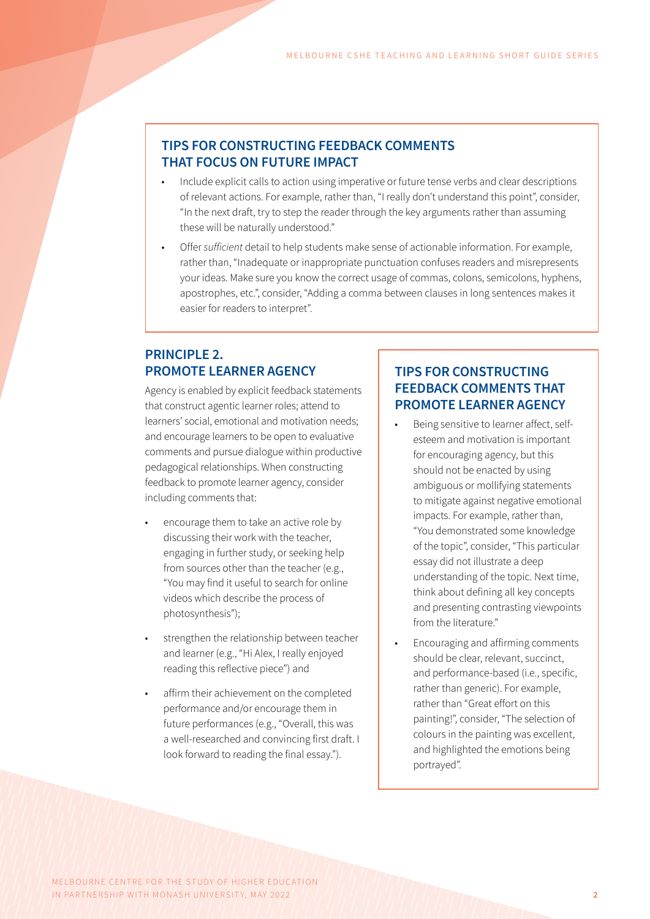#### **TIPS FOR CONSTRUCTING FEEDBACK COMMENTS THAT FOCUS ON FUTURE IMPACT**

- Include explicit calls to action using imperative or future tense verbs and clear descriptions of relevant actions. For example, rather than, "I really don't understand this point", consider, "In the next draft, try to step the reader through the key arguments rather than assuming these will be naturally understood."
- Offer *sufficient* detail to help students make sense of actionable information. For example, rather than, "Inadequate or inappropriate punctuation confuses readers and misrepresents your ideas. Make sure you know the correct usage of commas, colons, semicolons, hyphens, apostrophes, etc.", consider, "Adding a comma between clauses in long sentences makes it easier for readers to interpret".

### **PRINCIPLE 2. PROMOTE LEARNER AGENCY**

Agency is enabled by explicit feedback statements that construct agentic learner roles; attend to learners' social, emotional and motivation needs; and encourage learners to be open to evaluative comments and pursue dialogue within productive pedagogical relationships. When constructing feedback to promote learner agency, consider including comments that:

- encourage them to take an active role by discussing their work with the teacher, engaging in further study, or seeking help from sources other than the teacher (e.g., "You may find it useful to search for online videos which describe the process of photosynthesis");
- strengthen the relationship between teacher and learner (e.g., "Hi Alex, I really enjoyed reading this reflective piece") and
- affirm their achievement on the completed performance and/or encourage them in future performances (e.g., "Overall, this was a well-researched and convincing first draft. I look forward to reading the final essay.").

#### **TIPS FOR CONSTRUCTING FEEDBACK COMMENTS THAT PROMOTE LEARNER AGENCY**

- Being sensitive to learner affect, selfesteem and motivation is important for encouraging agency, but this should not be enacted by using ambiguous or mollifying statements to mitigate against negative emotional impacts. For example, rather than, "You demonstrated some knowledge of the topic", consider, "This particular essay did not illustrate a deep understanding of the topic. Next time, think about defining all key concepts and presenting contrasting viewpoints from the literature."
- Encouraging and affirming comments should be clear, relevant, succinct, and performance-based (i.e., specific, rather than generic). For example, rather than "Great effort on this painting!", consider, "The selection of colours in the painting was excellent, and highlighted the emotions being portrayed".

MELBOURNE CENTRE FOR THE STUDY OF HIGHER EDUCATION IN PARTNERSHIP WITH MONASH UNIVERSITY, MAY 2022 **2**  $\frac{1}{2}$  **2 2 2 2**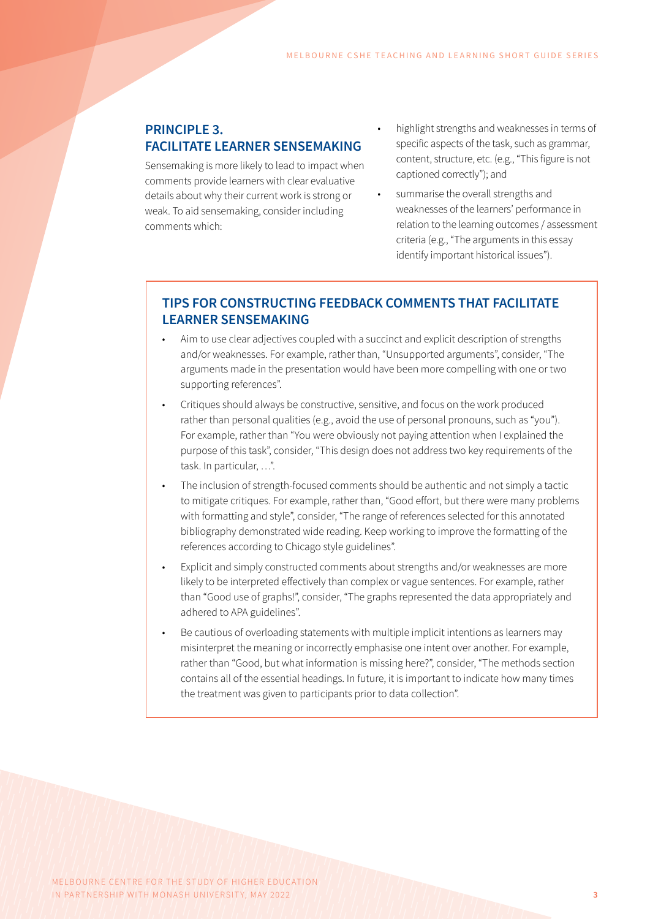#### **PRINCIPLE 3. FACILITATE LEARNER SENSEMAKING**

Sensemaking is more likely to lead to impact when comments provide learners with clear evaluative details about why their current work is strong or weak. To aid sensemaking, consider including comments which:

- highlight strengths and weaknesses in terms of specific aspects of the task, such as grammar, content, structure, etc. (e.g., "This figure is not captioned correctly"); and
	- summarise the overall strengths and weaknesses of the learners' performance in relation to the learning outcomes / assessment criteria (e.g., "The arguments in this essay identify important historical issues").

### **TIPS FOR CONSTRUCTING FEEDBACK COMMENTS THAT FACILITATE LEARNER SENSEMAKING**

- Aim to use clear adjectives coupled with a succinct and explicit description of strengths and/or weaknesses. For example, rather than, "Unsupported arguments", consider, "The arguments made in the presentation would have been more compelling with one or two supporting references".
- Critiques should always be constructive, sensitive, and focus on the work produced rather than personal qualities (e.g., avoid the use of personal pronouns, such as "you"). For example, rather than "You were obviously not paying attention when I explained the purpose of this task", consider, "This design does not address two key requirements of the task. In particular, …".
- The inclusion of strength-focused comments should be authentic and not simply a tactic to mitigate critiques. For example, rather than, "Good effort, but there were many problems with formatting and style", consider, "The range of references selected for this annotated bibliography demonstrated wide reading. Keep working to improve the formatting of the references according to Chicago style guidelines".
- Explicit and simply constructed comments about strengths and/or weaknesses are more likely to be interpreted effectively than complex or vague sentences. For example, rather than "Good use of graphs!", consider, "The graphs represented the data appropriately and adhered to APA guidelines".
- Be cautious of overloading statements with multiple implicit intentions as learners may misinterpret the meaning or incorrectly emphasise one intent over another. For example, rather than "Good, but what information is missing here?", consider, "The methods section contains all of the essential headings. In future, it is important to indicate how many times the treatment was given to participants prior to data collection".

MELBOURNE CENTRE FOR THE STUDY OF HIGHER EDUCATION IN PARTNERSHIP WITH MONASH UNIVERSITY, MAY 2022 **3 3 3**